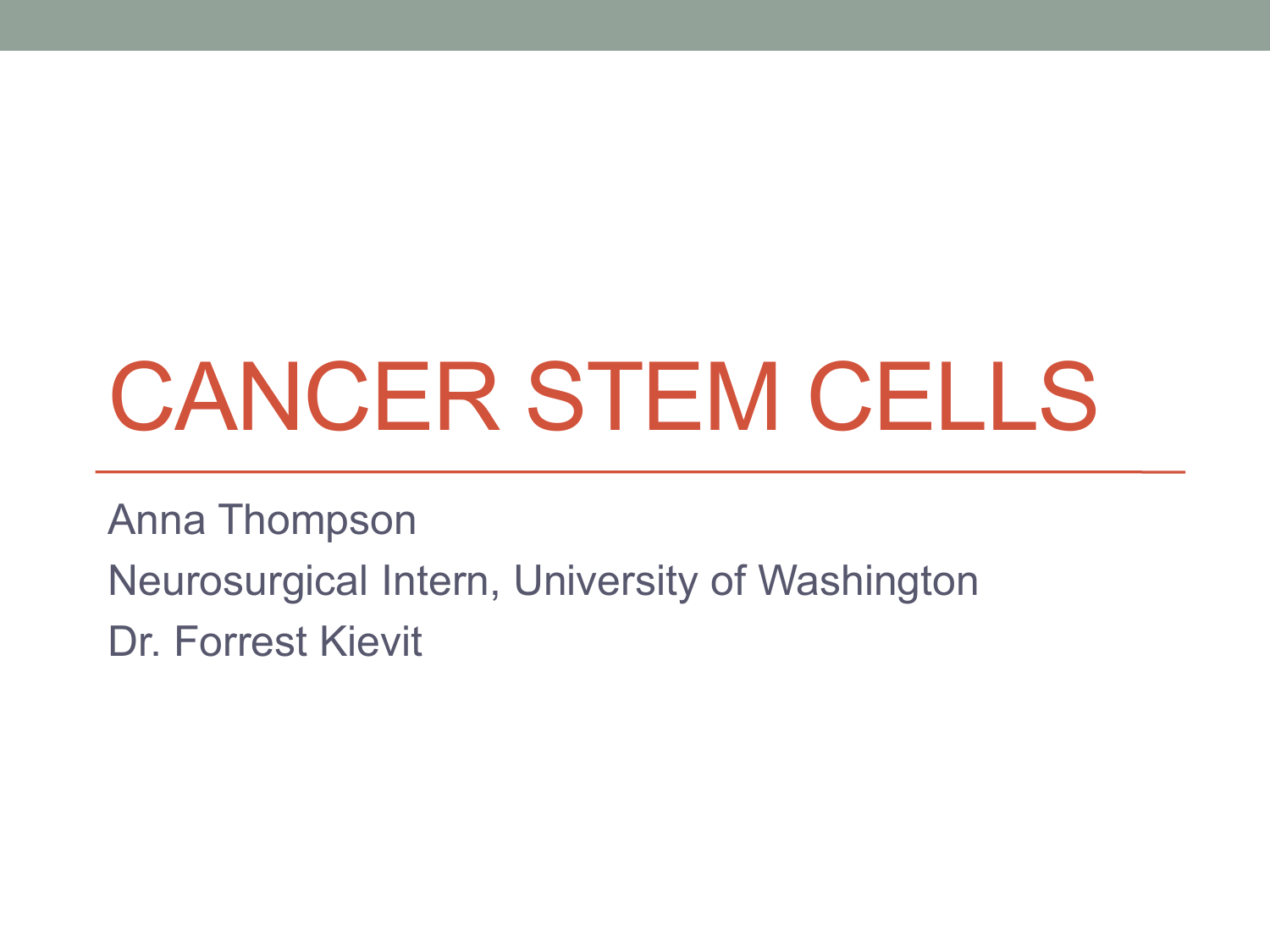# CANCER STEM CELLS

Anna Thompson

Neurosurgical Intern, University of Washington

Dr. Forrest Kievit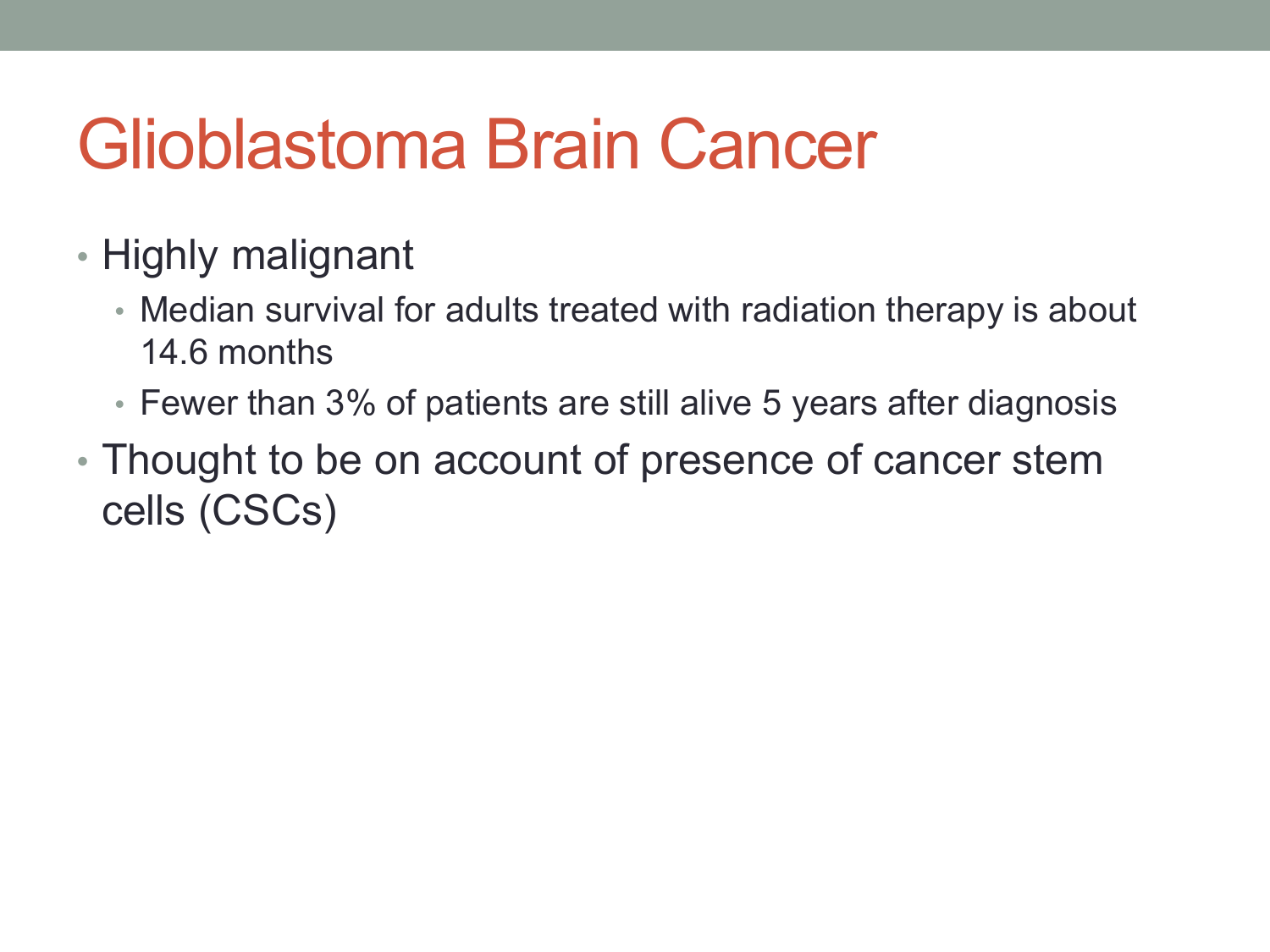### Glioblastoma Brain Cancer

- Highly malignant
	- Median survival for adults treated with radiation therapy is about 14.6 months
	- Fewer than 3% of patients are still alive 5 years after diagnosis
- Thought to be on account of presence of cancer stem cells (CSCs)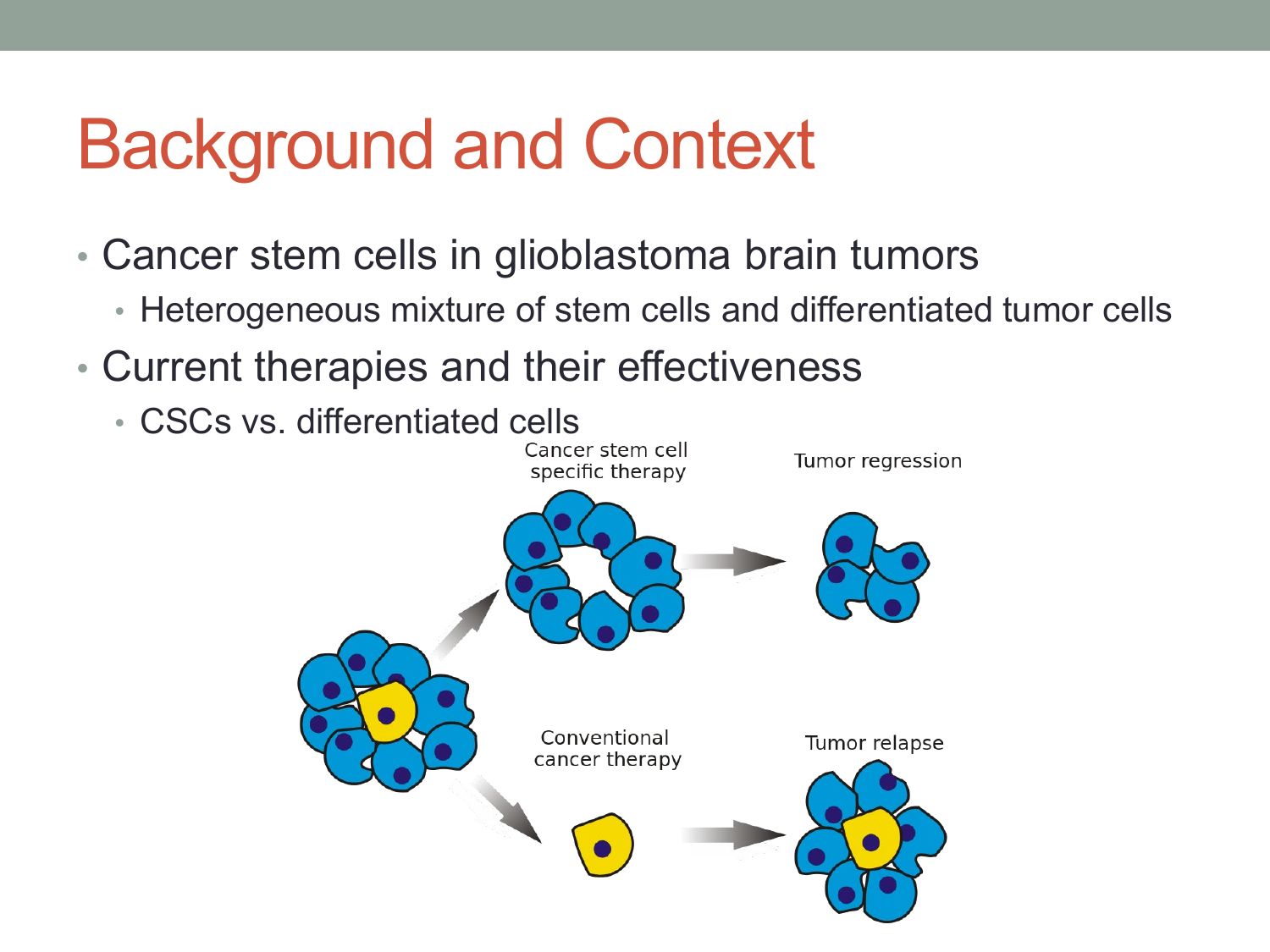## Background and Context

- Cancer stem cells in glioblastoma brain tumors
	- Heterogeneous mixture of stem cells and differentiated tumor cells
- Current therapies and their effectiveness
	- CSCs vs. differentiated cells<br>Cancer stem cell Tumor regression specific therapy Conventional Tumor relapse cancer therapy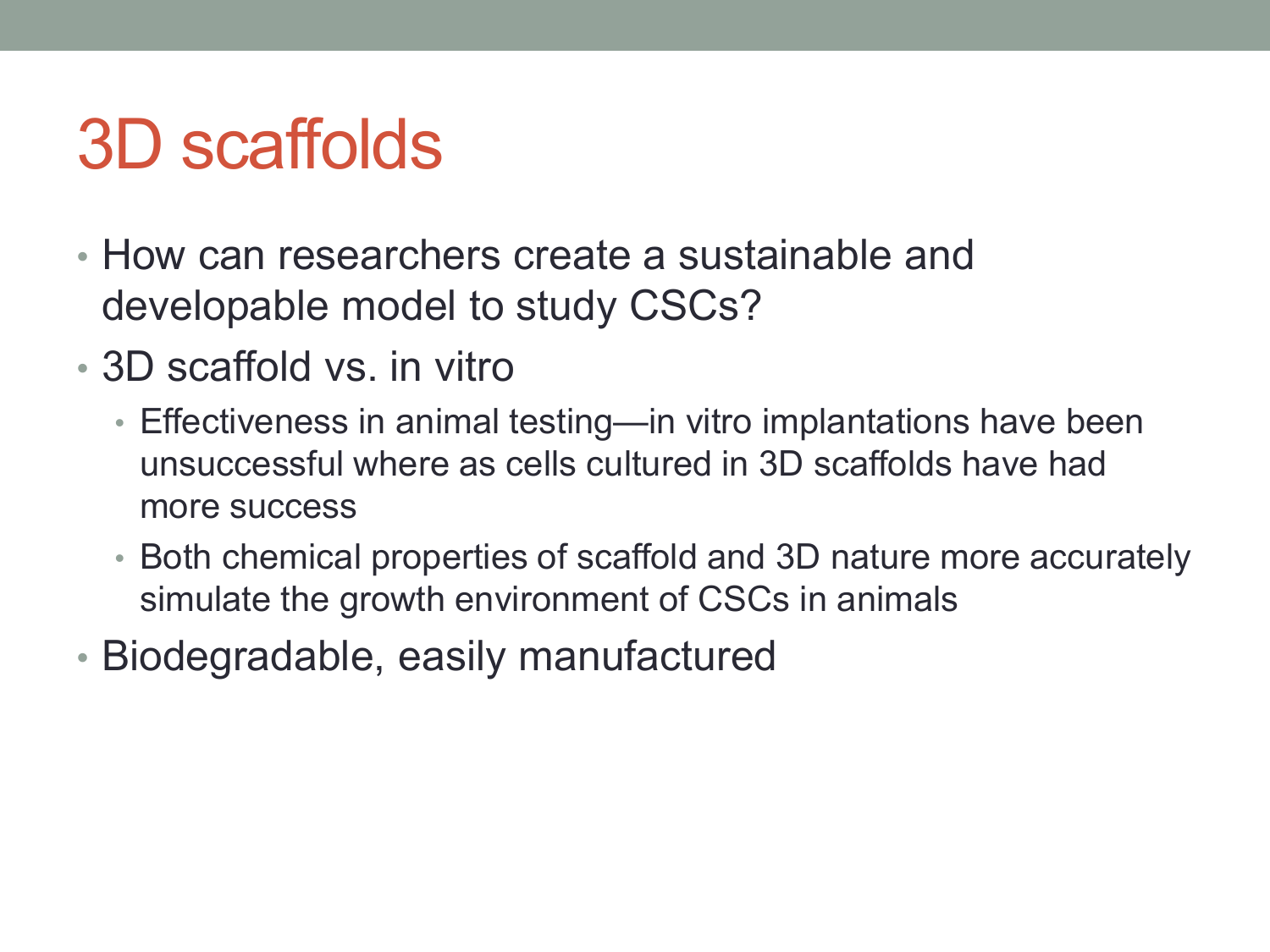### 3D scaffolds

- How can researchers create a sustainable and developable model to study CSCs?
- 3D scaffold vs. in vitro
	- Effectiveness in animal testing—in vitro implantations have been unsuccessful where as cells cultured in 3D scaffolds have had more success
	- Both chemical properties of scaffold and 3D nature more accurately simulate the growth environment of CSCs in animals
- Biodegradable, easily manufactured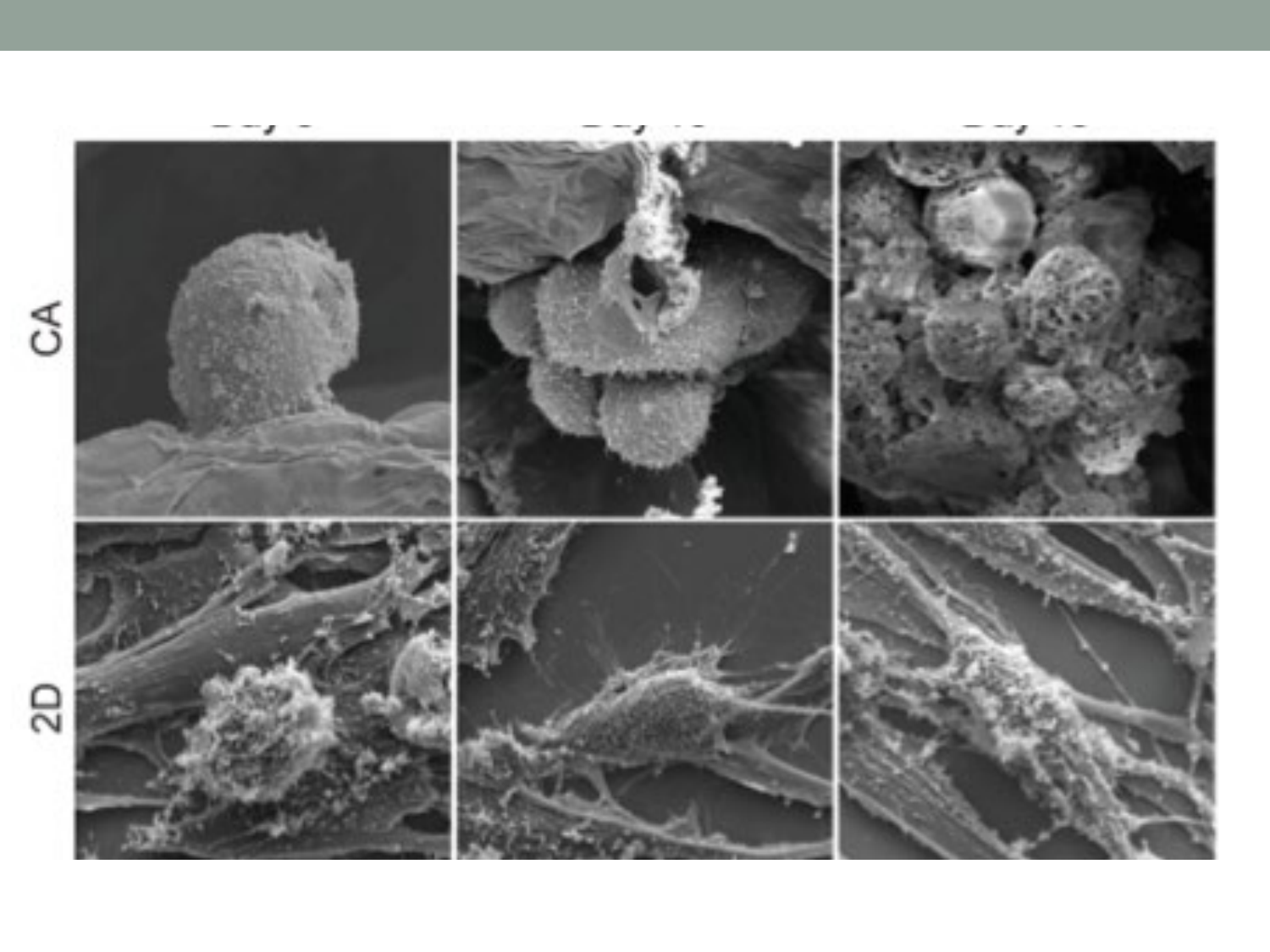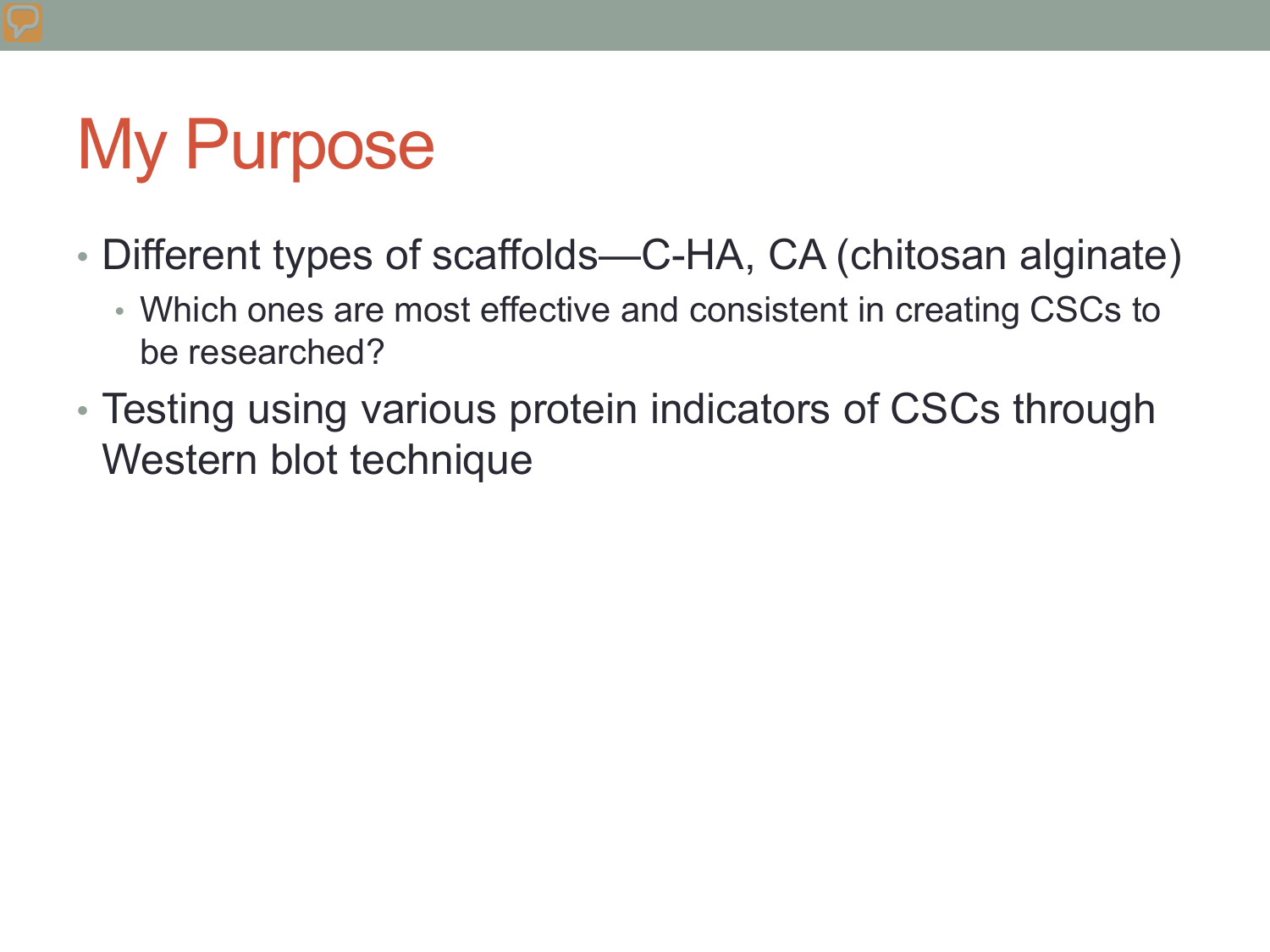# My Purpose

- Different types of scaffolds—C-HA, CA (chitosan alginate)
	- Which ones are most effective and consistent in creating CSCs to be researched?
- Testing using various protein indicators of CSCs through Western blot technique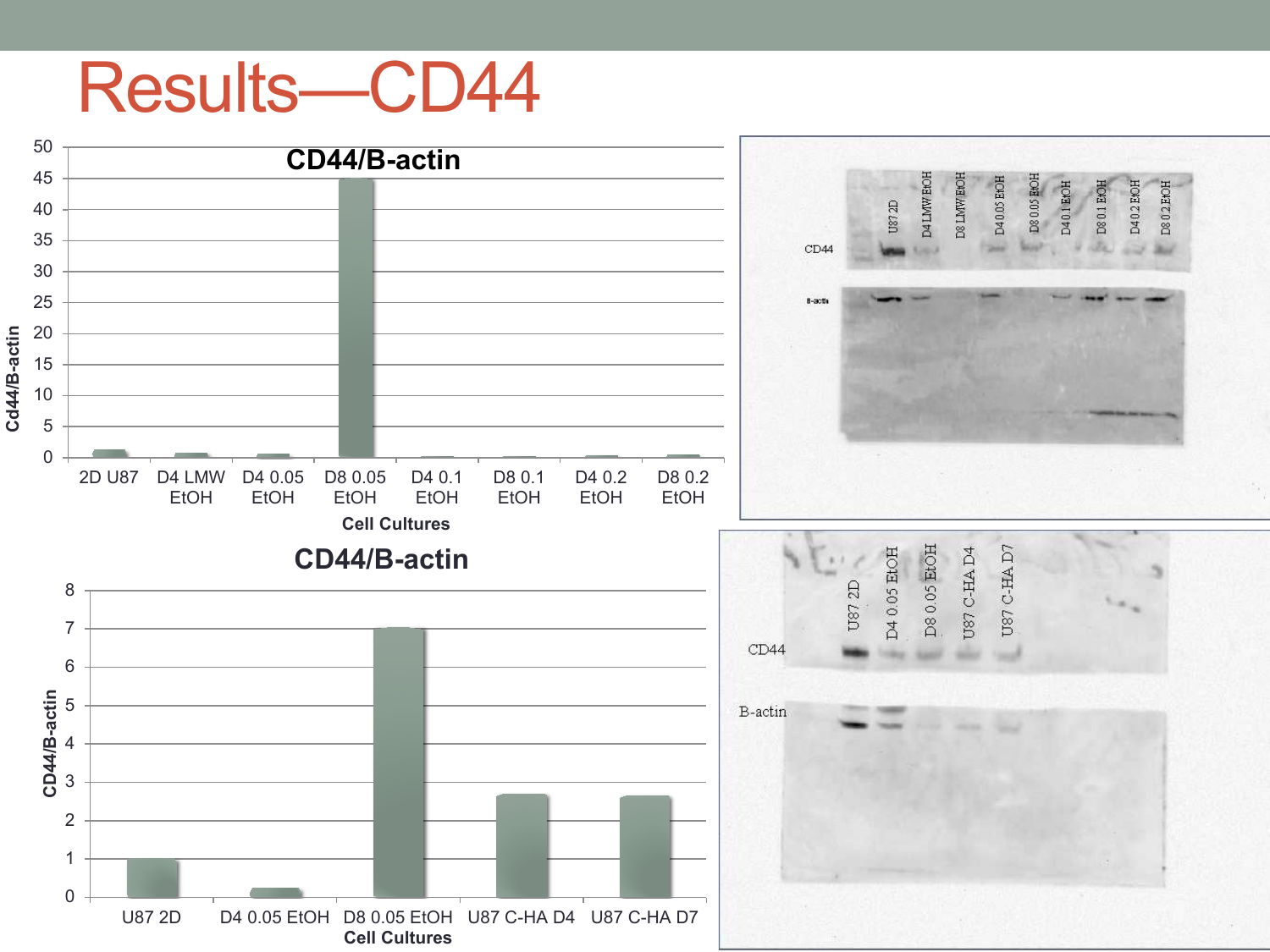### Results—CD44

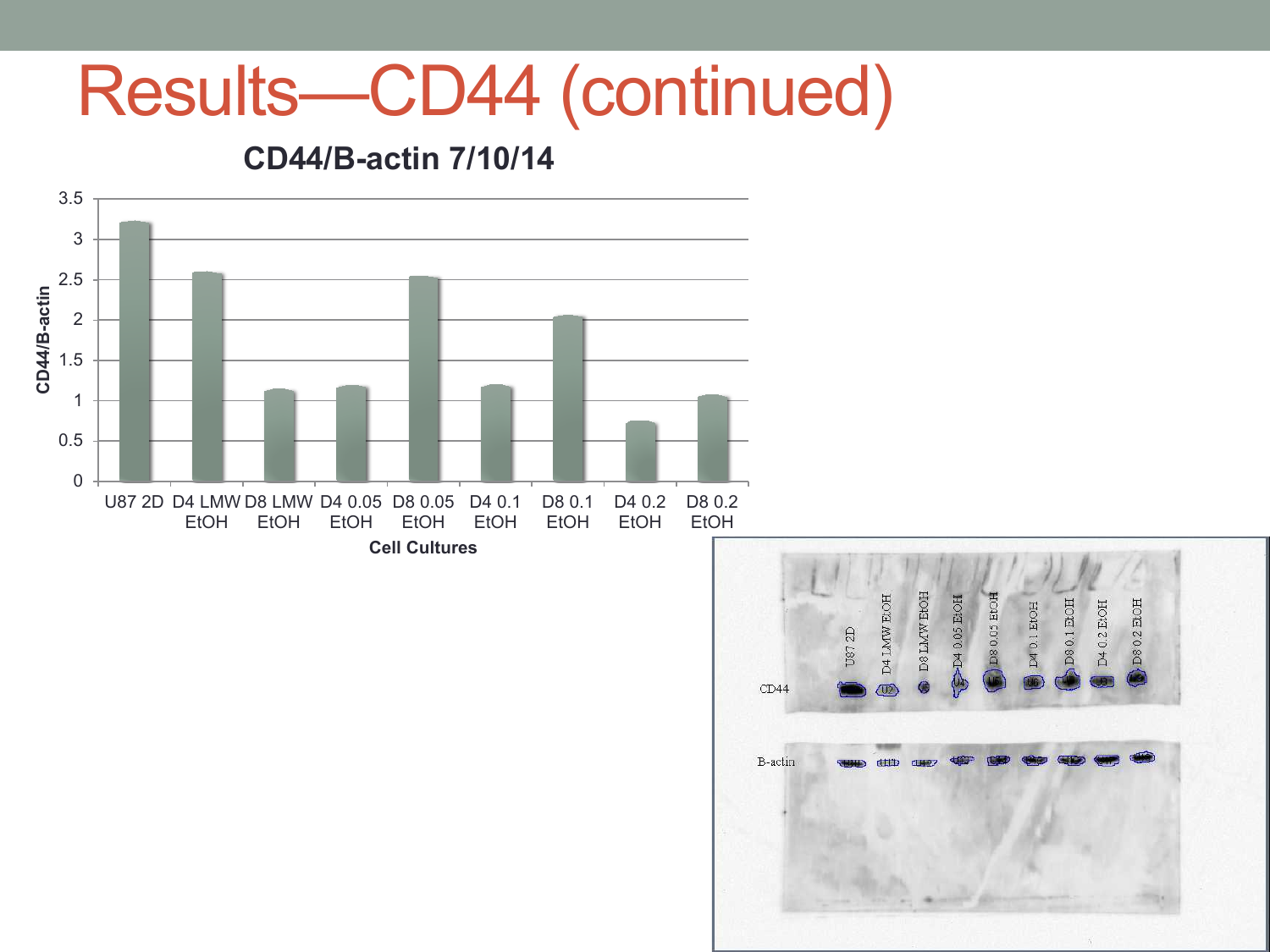### Results—CD44 (continued)

#### **CD44/B-actin 7/10/14**



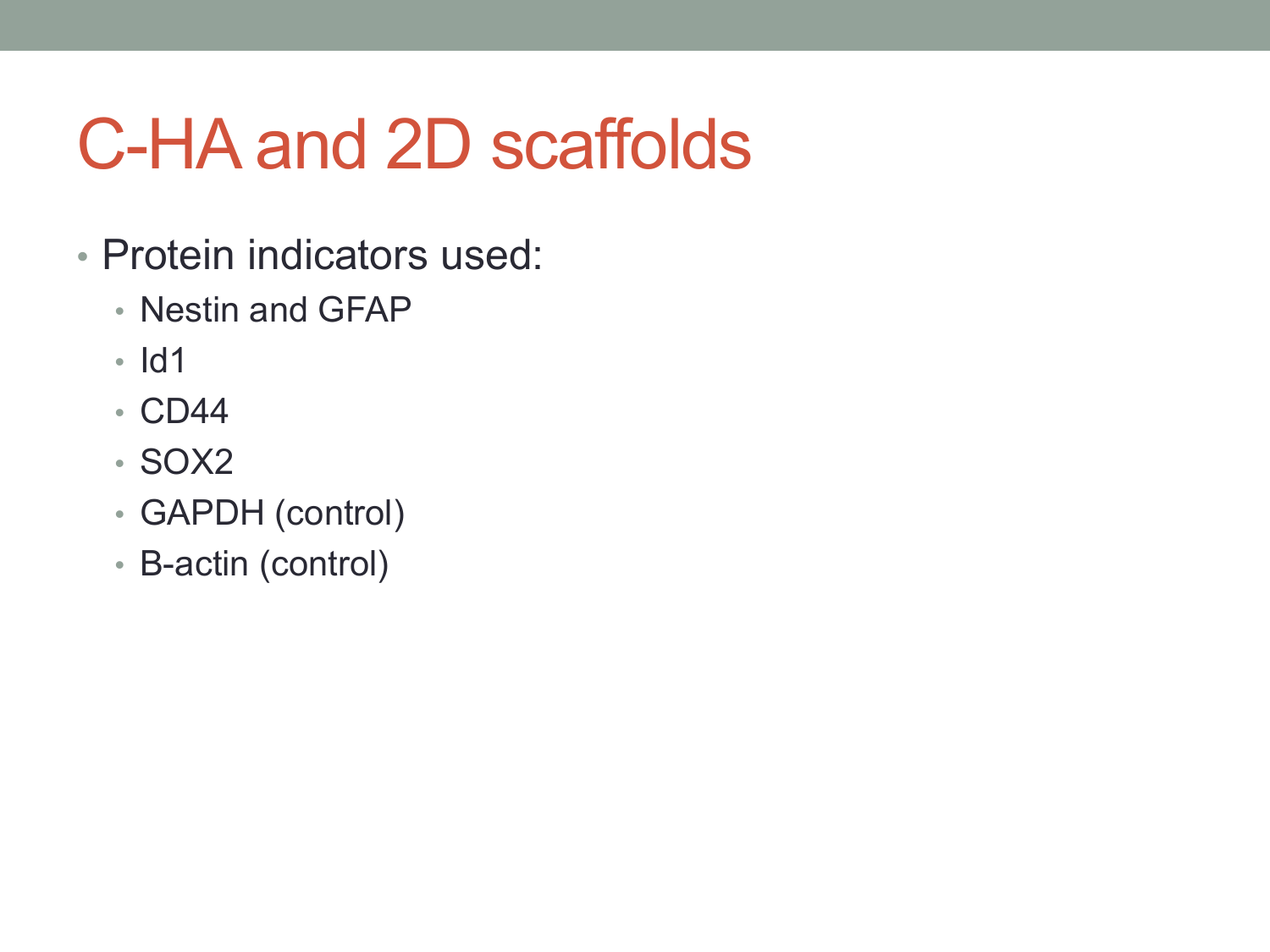# C-HA and 2D scaffolds

- Protein indicators used:
	- Nestin and GFAP
	- Id1
	- CD44
	- SOX2
	- GAPDH (control)
	- B-actin (control)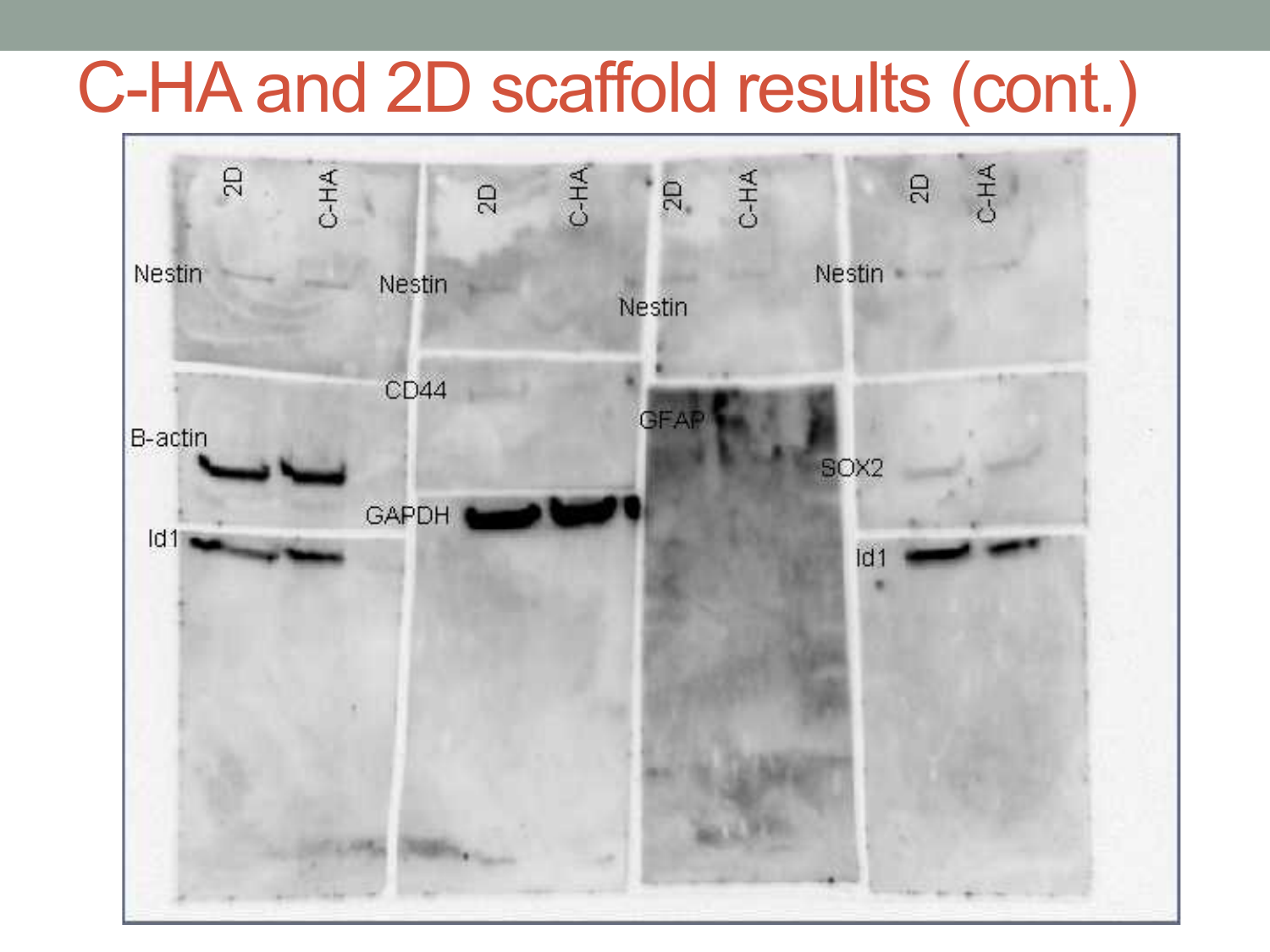### C-HA and 2D scaffold results (cont.)

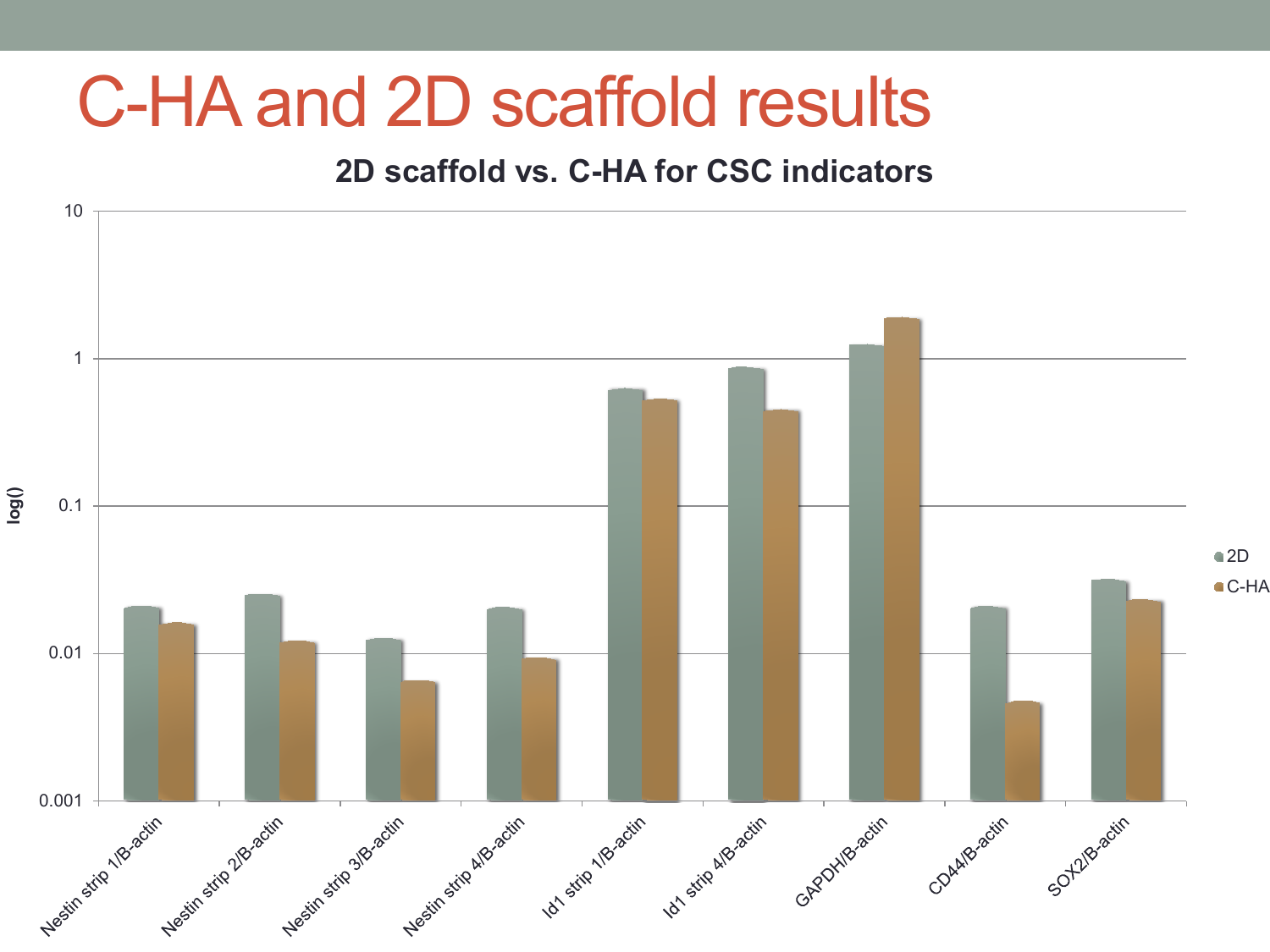### C-HA and 2D scaffold results

#### **2D scaffold vs. C-HA for CSC indicators**